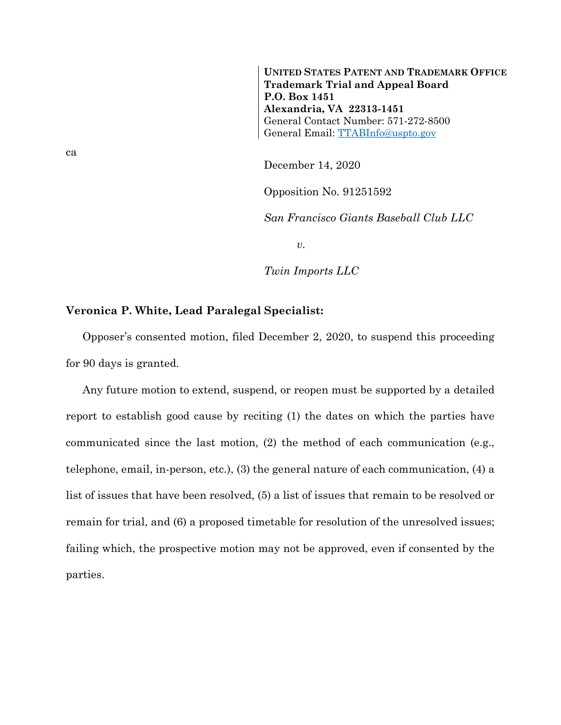**UNITED STATES PATENT AND TRADEMARK OFFICE Trademark Trial and Appeal Board P.O. Box 1451 Alexandria, VA 22313-1451** General Contact Number: 571-272-8500 General Email: [TTABInfo@uspto.gov](mailto:TTABInfo@uspto.gov)

December 14, 2020

Opposition No. 91251592

*San Francisco Giants Baseball Club LLC*

*v.*

*Twin Imports LLC*

## **Veronica P. White, Lead Paralegal Specialist:**

Opposer's consented motion, filed December 2, 2020, to suspend this proceeding for 90 days is granted.

Any future motion to extend, suspend, or reopen must be supported by a detailed report to establish good cause by reciting (1) the dates on which the parties have communicated since the last motion, (2) the method of each communication (e.g., telephone, email, in-person, etc.), (3) the general nature of each communication, (4) a list of issues that have been resolved, (5) a list of issues that remain to be resolved or remain for trial, and (6) a proposed timetable for resolution of the unresolved issues; failing which, the prospective motion may not be approved, even if consented by the parties.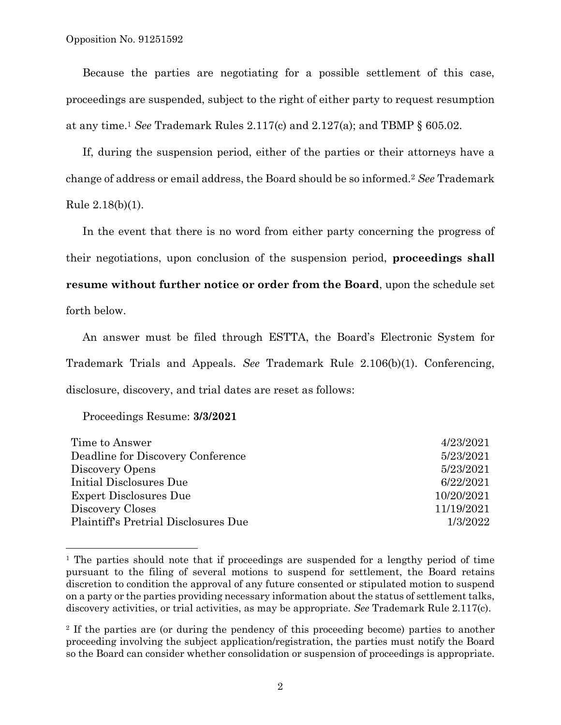Because the parties are negotiating for a possible settlement of this case, proceedings are suspended, subject to the right of either party to request resumption at any time.<sup>1</sup> *See* Trademark Rules 2.117(c) and 2.127(a); and TBMP § 605.02.

If, during the suspension period, either of the parties or their attorneys have a change of address or email address, the Board should be so informed.<sup>2</sup> *See* Trademark Rule 2.18(b)(1).

In the event that there is no word from either party concerning the progress of their negotiations, upon conclusion of the suspension period, **proceedings shall resume without further notice or order from the Board**, upon the schedule set forth below.

An answer must be filed through ESTTA, the Board's Electronic System for Trademark Trials and Appeals. *See* Trademark Rule 2.106(b)(1). Conferencing, disclosure, discovery, and trial dates are reset as follows:

Proceedings Resume: **3/3/2021**

l

| Time to Answer                       | 4/23/2021  |
|--------------------------------------|------------|
| Deadline for Discovery Conference    | 5/23/2021  |
| Discovery Opens                      | 5/23/2021  |
| <b>Initial Disclosures Due</b>       | 6/22/2021  |
| Expert Disclosures Due               | 10/20/2021 |
| Discovery Closes                     | 11/19/2021 |
| Plaintiff's Pretrial Disclosures Due | 1/3/2022   |
|                                      |            |

<sup>&</sup>lt;sup>1</sup> The parties should note that if proceedings are suspended for a lengthy period of time pursuant to the filing of several motions to suspend for settlement, the Board retains discretion to condition the approval of any future consented or stipulated motion to suspend on a party or the parties providing necessary information about the status of settlement talks, discovery activities, or trial activities, as may be appropriate. *See* Trademark Rule 2.117(c).

<sup>2</sup> If the parties are (or during the pendency of this proceeding become) parties to another proceeding involving the subject application/registration, the parties must notify the Board so the Board can consider whether consolidation or suspension of proceedings is appropriate.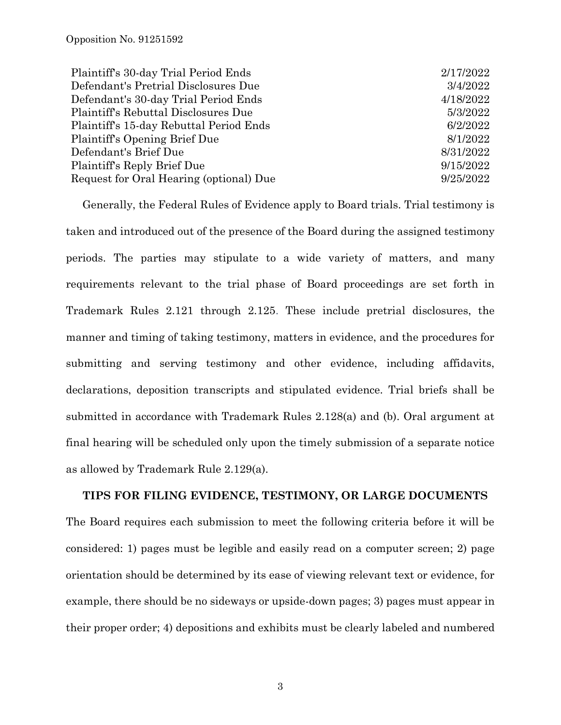| 2/17/2022 |
|-----------|
| 3/4/2022  |
| 4/18/2022 |
| 5/3/2022  |
| 6/2/2022  |
| 8/1/2022  |
| 8/31/2022 |
| 9/15/2022 |
| 9/25/2022 |
|           |

Generally, the Federal Rules of Evidence apply to Board trials. Trial testimony is taken and introduced out of the presence of the Board during the assigned testimony periods. The parties may stipulate to a wide variety of matters, and many requirements relevant to the trial phase of Board proceedings are set forth in Trademark Rules 2.121 through 2.125. These include pretrial disclosures, the manner and timing of taking testimony, matters in evidence, and the procedures for submitting and serving testimony and other evidence, including affidavits, declarations, deposition transcripts and stipulated evidence. Trial briefs shall be submitted in accordance with Trademark Rules 2.128(a) and (b). Oral argument at final hearing will be scheduled only upon the timely submission of a separate notice as allowed by Trademark Rule 2.129(a).

## **TIPS FOR FILING EVIDENCE, TESTIMONY, OR LARGE DOCUMENTS**

The Board requires each submission to meet the following criteria before it will be considered: 1) pages must be legible and easily read on a computer screen; 2) page orientation should be determined by its ease of viewing relevant text or evidence, for example, there should be no sideways or upside-down pages; 3) pages must appear in their proper order; 4) depositions and exhibits must be clearly labeled and numbered